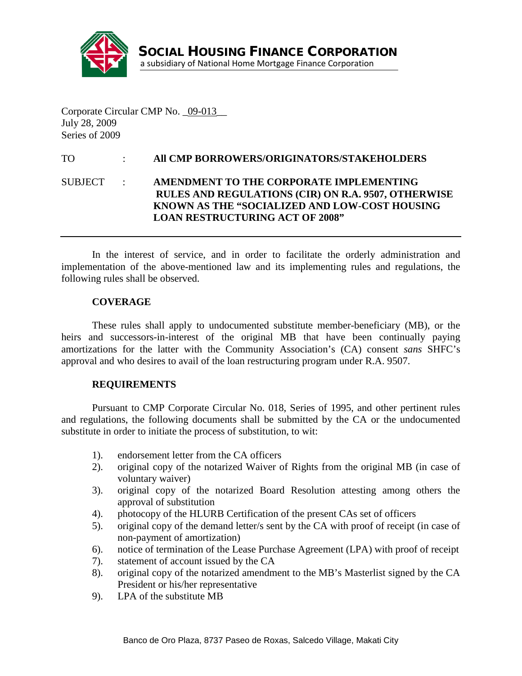

Corporate Circular CMP No. \_09-013\_\_ July 28, 2009 Series of 2009

# TO : **All CMP BORROWERS/ORIGINATORS/STAKEHOLDERS**

## SUBJECT : **AMENDMENT TO THE CORPORATE IMPLEMENTING RULES AND REGULATIONS (CIR) ON R.A. 9507, OTHERWISE KNOWN AS THE "SOCIALIZED AND LOW-COST HOUSING LOAN RESTRUCTURING ACT OF 2008"**

In the interest of service, and in order to facilitate the orderly administration and implementation of the above-mentioned law and its implementing rules and regulations, the following rules shall be observed.

### **COVERAGE**

These rules shall apply to undocumented substitute member-beneficiary (MB), or the heirs and successors-in-interest of the original MB that have been continually paying amortizations for the latter with the Community Association's (CA) consent *sans* SHFC's approval and who desires to avail of the loan restructuring program under R.A. 9507.

#### **REQUIREMENTS**

Pursuant to CMP Corporate Circular No. 018, Series of 1995, and other pertinent rules and regulations, the following documents shall be submitted by the CA or the undocumented substitute in order to initiate the process of substitution, to wit:

- 1). endorsement letter from the CA officers
- 2). original copy of the notarized Waiver of Rights from the original MB (in case of voluntary waiver)
- 3). original copy of the notarized Board Resolution attesting among others the approval of substitution
- 4). photocopy of the HLURB Certification of the present CAs set of officers
- 5). original copy of the demand letter/s sent by the CA with proof of receipt (in case of non-payment of amortization)
- 6). notice of termination of the Lease Purchase Agreement (LPA) with proof of receipt
- 7). statement of account issued by the CA
- 8). original copy of the notarized amendment to the MB's Masterlist signed by the CA President or his/her representative
- 9). LPA of the substitute MB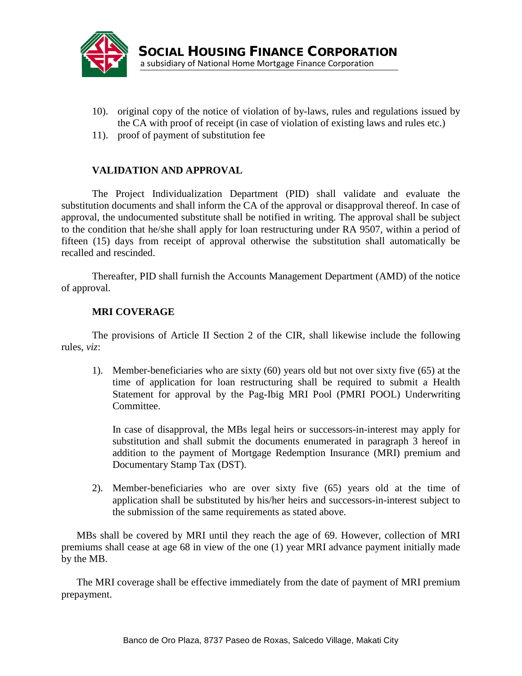

- 10). original copy of the notice of violation of by-laws, rules and regulations issued by the CA with proof of receipt (in case of violation of existing laws and rules etc.)
- 11). proof of payment of substitution fee

## **VALIDATION AND APPROVAL**

The Project Individualization Department (PID) shall validate and evaluate the substitution documents and shall inform the CA of the approval or disapproval thereof. In case of approval, the undocumented substitute shall be notified in writing. The approval shall be subject to the condition that he/she shall apply for loan restructuring under RA 9507, within a period of fifteen (15) days from receipt of approval otherwise the substitution shall automatically be recalled and rescinded.

Thereafter, PID shall furnish the Accounts Management Department (AMD) of the notice of approval.

## **MRI COVERAGE**

The provisions of Article II Section 2 of the CIR, shall likewise include the following rules, *viz*:

1). Member-beneficiaries who are sixty (60) years old but not over sixty five (65) at the time of application for loan restructuring shall be required to submit a Health Statement for approval by the Pag-Ibig MRI Pool (PMRI POOL) Underwriting Committee.

In case of disapproval, the MBs legal heirs or successors-in-interest may apply for substitution and shall submit the documents enumerated in paragraph 3 hereof in addition to the payment of Mortgage Redemption Insurance (MRI) premium and Documentary Stamp Tax (DST).

2). Member-beneficiaries who are over sixty five (65) years old at the time of application shall be substituted by his/her heirs and successors-in-interest subject to the submission of the same requirements as stated above.

MBs shall be covered by MRI until they reach the age of 69. However, collection of MRI premiums shall cease at age 68 in view of the one (1) year MRI advance payment initially made by the MB.

The MRI coverage shall be effective immediately from the date of payment of MRI premium prepayment.